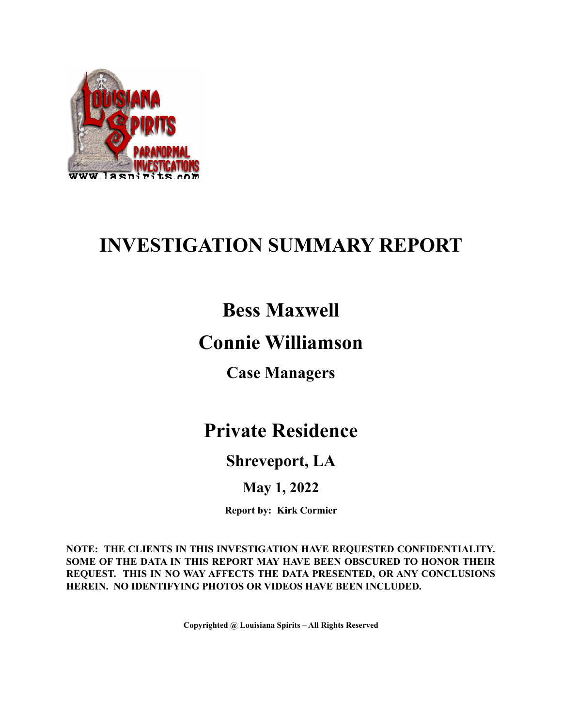

# **INVESTIGATION SUMMARY REPORT**

### **Bess Maxwell**

### **Connie Williamson**

**Case Managers**

### **Private Residence**

### **Shreveport, LA**

### **May 1, 2022**

**Report by: Kirk Cormier**

**NOTE: THE CLIENTS IN THIS INVESTIGATION HAVE REQUESTED CONFIDENTIALITY. SOME OF THE DATA IN THIS REPORT MAY HAVE BEEN OBSCURED TO HONOR THEIR REQUEST. THIS IN NO WAY AFFECTS THE DATA PRESENTED, OR ANY CONCLUSIONS HEREIN. NO IDENTIFYING PHOTOS OR VIDEOS HAVE BEEN INCLUDED.**

**Copyrighted @ Louisiana Spirits – All Rights Reserved**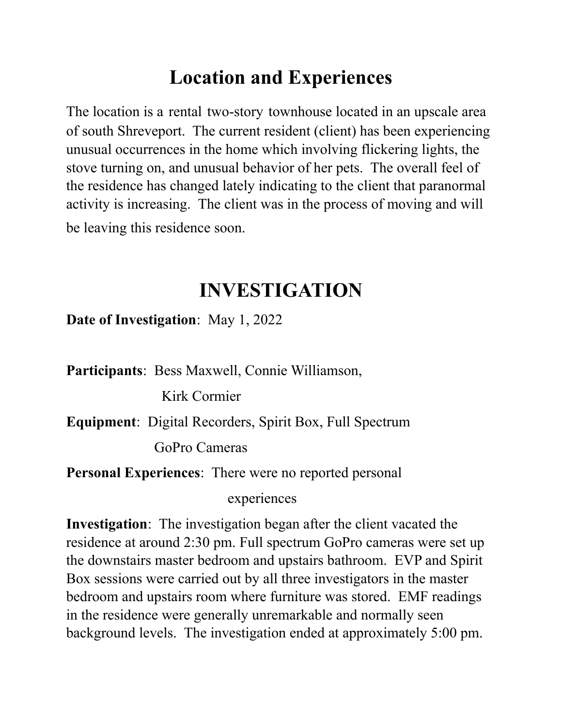## **Location and Experiences**

The location is a rental two-story townhouse located in an upscale area of south Shreveport. The current resident (client) has been experiencing unusual occurrences in the home which involving flickering lights, the stove turning on, and unusual behavior of her pets. The overall feel of the residence has changed lately indicating to the client that paranormal activity is increasing. The client was in the process of moving and will be leaving this residence soon.

### **INVESTIGATION**

**Date of Investigation**: May 1, 2022

**Participants**: Bess Maxwell, Connie Williamson,

Kirk Cormier

**Equipment**: Digital Recorders, Spirit Box, Full Spectrum

GoPro Cameras

**Personal Experiences**: There were no reported personal

experiences

**Investigation**: The investigation began after the client vacated the residence at around 2:30 pm. Full spectrum GoPro cameras were set up the downstairs master bedroom and upstairs bathroom. EVP and Spirit Box sessions were carried out by all three investigators in the master bedroom and upstairs room where furniture was stored. EMF readings in the residence were generally unremarkable and normally seen background levels. The investigation ended at approximately 5:00 pm.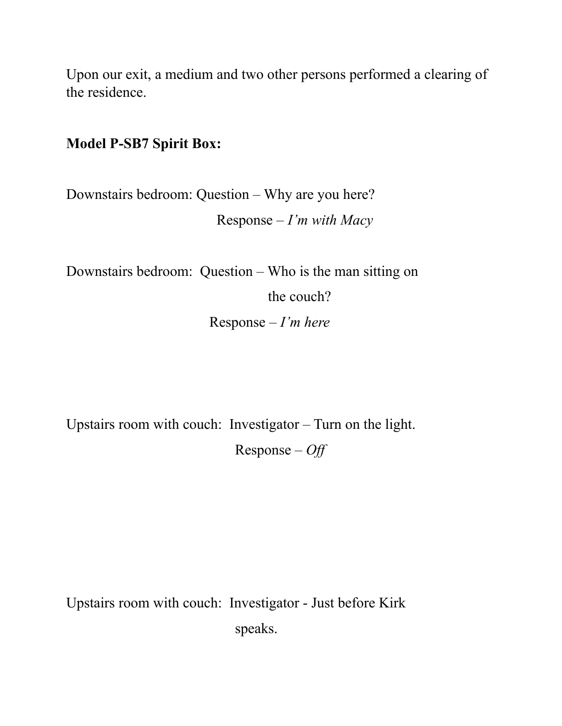Upon our exit, a medium and two other persons performed a clearing of the residence.

#### **Model P-SB7 Spirit Box:**

Downstairs bedroom: Question – Why are you here? Response – *I'm with Macy*

Downstairs bedroom: Question – Who is the man sitting on

the couch?

Response *– I'm here*

Upstairs room with couch: Investigator – Turn on the light. Response – *Off*

Upstairs room with couch: Investigator - Just before Kirk speaks.